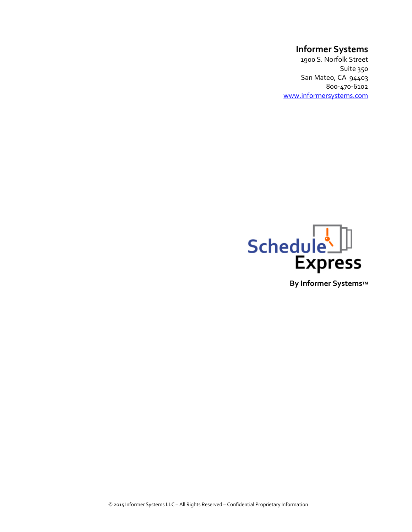# Informer Systems

1900 S. Norfolk Street Suite 350 San Mateo, CA 94403 800-470-6102 www.informersystems.com



By Informer Systems™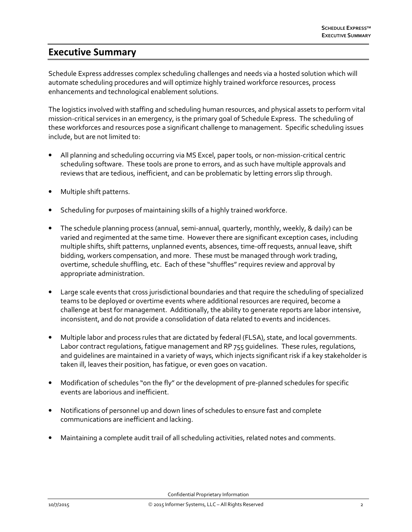## Executive Summary

Schedule Express addresses complex scheduling challenges and needs via a hosted solution which will automate scheduling procedures and will optimize highly trained workforce resources, process enhancements and technological enablement solutions.

The logistics involved with staffing and scheduling human resources, and physical assets to perform vital mission-critical services in an emergency, is the primary goal of Schedule Express. The scheduling of these workforces and resources pose a significant challenge to management. Specific scheduling issues include, but are not limited to:

- All planning and scheduling occurring via MS Excel, paper tools, or non-mission-critical centric scheduling software. These tools are prone to errors, and as such have multiple approvals and reviews that are tedious, inefficient, and can be problematic by letting errors slip through.
- Multiple shift patterns.
- Scheduling for purposes of maintaining skills of a highly trained workforce.
- The schedule planning process (annual, semi-annual, quarterly, monthly, weekly, & daily) can be varied and regimented at the same time. However there are significant exception cases, including multiple shifts, shift patterns, unplanned events, absences, time-off requests, annual leave, shift bidding, workers compensation, and more. These must be managed through work trading, overtime, schedule shuffling, etc. Each of these "shuffles" requires review and approval by appropriate administration.
- Large scale events that cross jurisdictional boundaries and that require the scheduling of specialized teams to be deployed or overtime events where additional resources are required, become a challenge at best for management. Additionally, the ability to generate reports are labor intensive, inconsistent, and do not provide a consolidation of data related to events and incidences.
- Multiple labor and process rules that are dictated by federal (FLSA), state, and local governments. Labor contract regulations, fatigue management and RP 755 guidelines. These rules, regulations, and guidelines are maintained in a variety of ways, which injects significant risk if a key stakeholder is taken ill, leaves their position, has fatigue, or even goes on vacation.
- Modification of schedules "on the fly" or the development of pre-planned schedules for specific events are laborious and inefficient.
- Notifications of personnel up and down lines of schedules to ensure fast and complete communications are inefficient and lacking.
- Maintaining a complete audit trail of all scheduling activities, related notes and comments.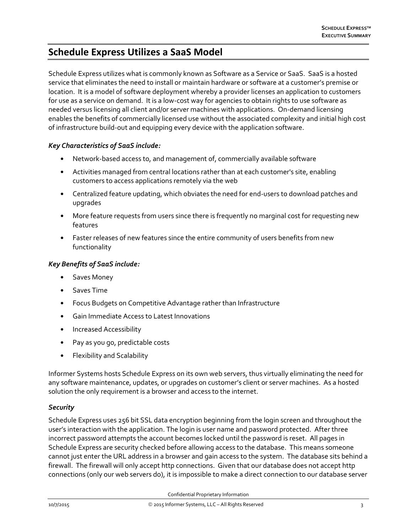# Schedule Express Utilizes a SaaS Model

Schedule Express utilizes what is commonly known as Software as a Service or SaaS. SaaS is a hosted service that eliminates the need to install or maintain hardware or software at a customer's premise or location. It is a model of software deployment whereby a provider licenses an application to customers for use as a service on demand. It is a low-cost way for agencies to obtain rights to use software as needed versus licensing all client and/or server machines with applications. On-demand licensing enables the benefits of commercially licensed use without the associated complexity and initial high cost of infrastructure build-out and equipping every device with the application software.

## Key Characteristics of SaaS include:

- Network-based access to, and management of, commercially available software
- Activities managed from central locations rather than at each customer's site, enabling customers to access applications remotely via the web
- Centralized feature updating, which obviates the need for end-users to download patches and upgrades
- More feature requests from users since there is frequently no marginal cost for requesting new features
- Faster releases of new features since the entire community of users benefits from new functionality

#### Key Benefits of SaaS include:

- Saves Money
- Saves Time
- Focus Budgets on Competitive Advantage rather than Infrastructure
- Gain Immediate Access to Latest Innovations
- Increased Accessibility
- Pay as you go, predictable costs
- Flexibility and Scalability

Informer Systems hosts Schedule Express on its own web servers, thus virtually eliminating the need for any software maintenance, updates, or upgrades on customer's client or server machines. As a hosted solution the only requirement is a browser and access to the internet.

#### **Security**

Schedule Express uses 256 bit SSL data encryption beginning from the login screen and throughout the user's interaction with the application. The login is user name and password protected. After three incorrect password attempts the account becomes locked until the password is reset. All pages in Schedule Express are security checked before allowing access to the database. This means someone cannot just enter the URL address in a browser and gain access to the system. The database sits behind a firewall. The firewall will only accept http connections. Given that our database does not accept http connections (only our web servers do), it is impossible to make a direct connection to our database server

Confidential Proprietary Information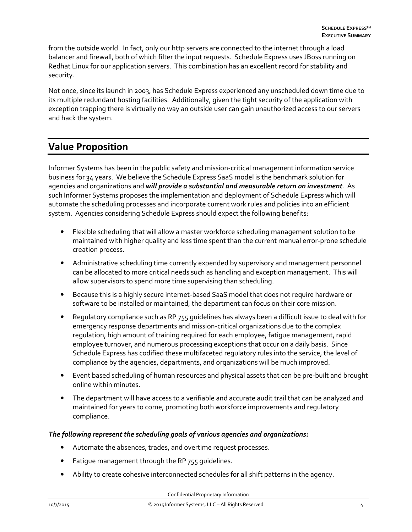from the outside world. In fact, only our http servers are connected to the internet through a load balancer and firewall, both of which filter the input requests. Schedule Express uses JBoss running on Redhat Linux for our application servers. This combination has an excellent record for stability and security.

Not once, since its launch in 2003, has Schedule Express experienced any unscheduled down time due to its multiple redundant hosting facilities. Additionally, given the tight security of the application with exception trapping there is virtually no way an outside user can gain unauthorized access to our servers and hack the system.

## Value Proposition

Informer Systems has been in the public safety and mission-critical management information service business for 34 years. We believe the Schedule Express SaaS model is the benchmark solution for agencies and organizations and will provide a substantial and measurable return on investment. As such Informer Systems proposes the implementation and deployment of Schedule Express which will automate the scheduling processes and incorporate current work rules and policies into an efficient system. Agencies considering Schedule Express should expect the following benefits:

- Flexible scheduling that will allow a master workforce scheduling management solution to be maintained with higher quality and less time spent than the current manual error-prone schedule creation process.
- Administrative scheduling time currently expended by supervisory and management personnel can be allocated to more critical needs such as handling and exception management. This will allow supervisors to spend more time supervising than scheduling.
- Because this is a highly secure internet-based SaaS model that does not require hardware or software to be installed or maintained, the department can focus on their core mission.
- Regulatory compliance such as RP 755 guidelines has always been a difficult issue to deal with for emergency response departments and mission-critical organizations due to the complex regulation, high amount of training required for each employee, fatigue management, rapid employee turnover, and numerous processing exceptions that occur on a daily basis. Since Schedule Express has codified these multifaceted regulatory rules into the service, the level of compliance by the agencies, departments, and organizations will be much improved.
- Event based scheduling of human resources and physical assets that can be pre-built and brought online within minutes.
- The department will have access to a verifiable and accurate audit trail that can be analyzed and maintained for years to come, promoting both workforce improvements and regulatory compliance.

## The following represent the scheduling goals of various agencies and organizations:

- Automate the absences, trades, and overtime request processes.
- Fatigue management through the RP 755 guidelines.
- Ability to create cohesive interconnected schedules for all shift patterns in the agency.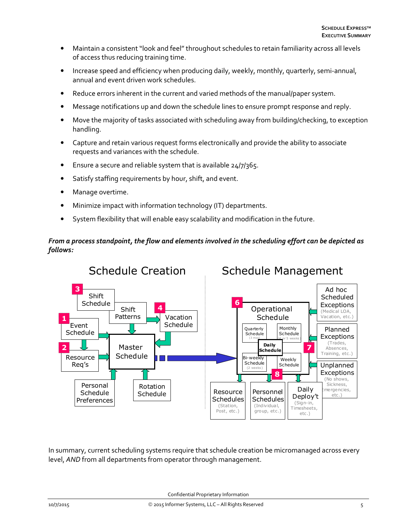- Maintain a consistent "look and feel" throughout schedules to retain familiarity across all levels of access thus reducing training time.
- Increase speed and efficiency when producing daily, weekly, monthly, quarterly, semi-annual, annual and event driven work schedules.
- Reduce errors inherent in the current and varied methods of the manual/paper system.
- Message notifications up and down the schedule lines to ensure prompt response and reply.
- Move the majority of tasks associated with scheduling away from building/checking, to exception handling.
- Capture and retain various request forms electronically and provide the ability to associate requests and variances with the schedule.
- Ensure a secure and reliable system that is available 24/7/365.
- Satisfy staffing requirements by hour, shift, and event.
- Manage overtime.
- Minimize impact with information technology (IT) departments.
- System flexibility that will enable easy scalability and modification in the future.

## From a process standpoint, the flow and elements involved in the scheduling effort can be depicted as follows:



In summary, current scheduling systems require that schedule creation be micromanaged across every level, AND from all departments from operator through management.

Confidential Proprietary Information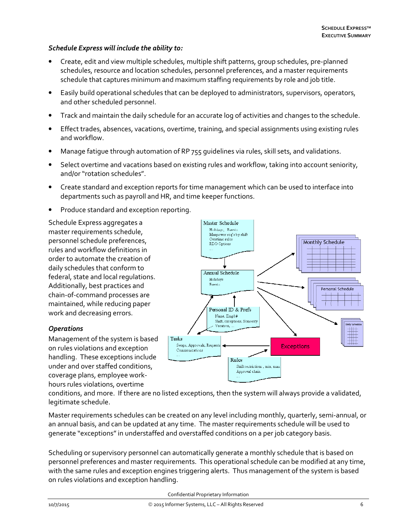### Schedule Express will include the ability to:

- Create, edit and view multiple schedules, multiple shift patterns, group schedules, pre-planned schedules, resource and location schedules, personnel preferences, and a master requirements schedule that captures minimum and maximum staffing requirements by role and job title.
- Easily build operational schedules that can be deployed to administrators, supervisors, operators, and other scheduled personnel.
- Track and maintain the daily schedule for an accurate log of activities and changes to the schedule.
- Effect trades, absences, vacations, overtime, training, and special assignments using existing rules and workflow.
- Manage fatigue through automation of RP 755 guidelines via rules, skill sets, and validations.
- Select overtime and vacations based on existing rules and workflow, taking into account seniority, and/or "rotation schedules".
- Create standard and exception reports for time management which can be used to interface into departments such as payroll and HR, and time keeper functions.
- Produce standard and exception reporting.

Schedule Express aggregates a master requirements schedule, personnel schedule preferences, rules and workflow definitions in order to automate the creation of daily schedules that conform to federal, state and local regulations. Additionally, best practices and chain-of-command processes are maintained, while reducing paper work and decreasing errors.

#### **Operations**

Management of the system is based on rules violations and exception handling. These exceptions include under and over staffed conditions, coverage plans, employee workhours rules violations, overtime



conditions, and more. If there are no listed exceptions, then the system will always provide a validated, legitimate schedule.

Master requirements schedules can be created on any level including monthly, quarterly, semi-annual, or an annual basis, and can be updated at any time. The master requirements schedule will be used to generate "exceptions" in understaffed and overstaffed conditions on a per job category basis.

Scheduling or supervisory personnel can automatically generate a monthly schedule that is based on personnel preferences and master requirements. This operational schedule can be modified at any time, with the same rules and exception engines triggering alerts. Thus management of the system is based on rules violations and exception handling.

Confidential Proprietary Information